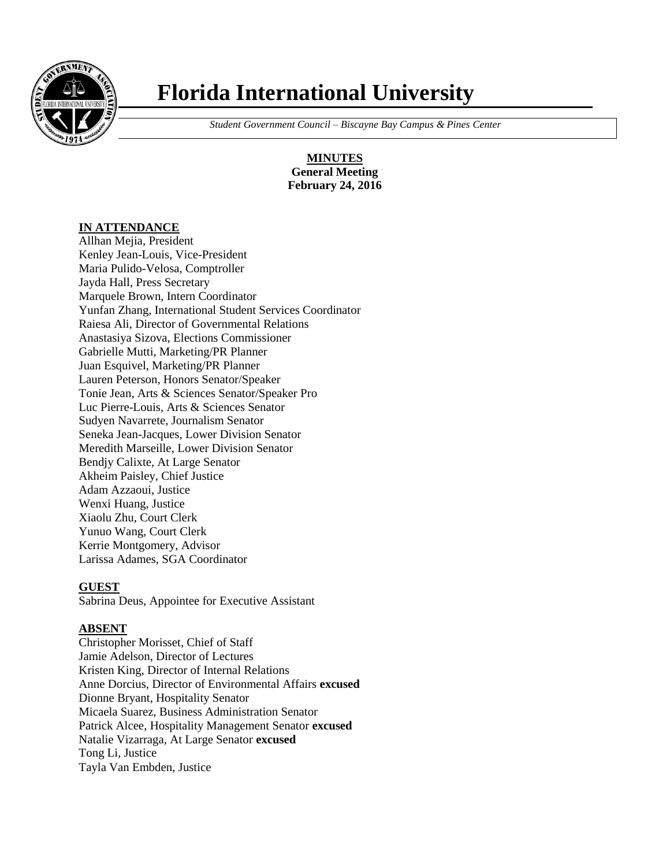

# **Florida International University**

 *Student Government Council – Biscayne Bay Campus & Pines Center*

**MINUTES General Meeting February 24, 2016**

## **IN ATTENDANCE**

Allhan Mejia, President Kenley Jean-Louis, Vice-President Maria Pulido-Velosa, Comptroller Jayda Hall, Press Secretary Marquele Brown, Intern Coordinator Yunfan Zhang, International Student Services Coordinator Raiesa Ali, Director of Governmental Relations Anastasiya Sizova, Elections Commissioner Gabrielle Mutti, Marketing/PR Planner Juan Esquivel, Marketing/PR Planner Lauren Peterson, Honors Senator/Speaker Tonie Jean, Arts & Sciences Senator/Speaker Pro Luc Pierre-Louis, Arts & Sciences Senator Sudyen Navarrete, Journalism Senator Seneka Jean-Jacques, Lower Division Senator Meredith Marseille, Lower Division Senator Bendjy Calixte, At Large Senator Akheim Paisley, Chief Justice Adam Azzaoui, Justice Wenxi Huang, Justice Xiaolu Zhu, Court Clerk Yunuo Wang, Court Clerk Kerrie Montgomery, Advisor Larissa Adames, SGA Coordinator

## **GUEST**

Sabrina Deus, Appointee for Executive Assistant

## **ABSENT**

Christopher Morisset, Chief of Staff Jamie Adelson, Director of Lectures Kristen King, Director of Internal Relations Anne Dorcius, Director of Environmental Affairs **excused** Dionne Bryant, Hospitality Senator Micaela Suarez, Business Administration Senator Patrick Alcee, Hospitality Management Senator **excused** Natalie Vizarraga, At Large Senator **excused** Tong Li, Justice Tayla Van Embden, Justice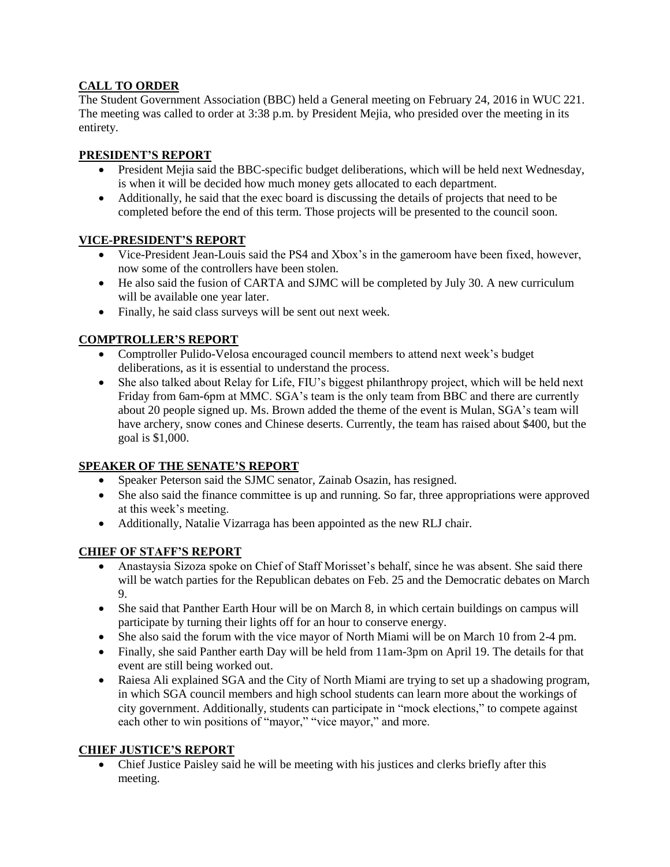# **CALL TO ORDER**

The Student Government Association (BBC) held a General meeting on February 24, 2016 in WUC 221. The meeting was called to order at 3:38 p.m. by President Mejia, who presided over the meeting in its entirety.

## **PRESIDENT'S REPORT**

- President Mejia said the BBC-specific budget deliberations, which will be held next Wednesday, is when it will be decided how much money gets allocated to each department.
- Additionally, he said that the exec board is discussing the details of projects that need to be completed before the end of this term. Those projects will be presented to the council soon.

## **VICE-PRESIDENT'S REPORT**

- Vice-President Jean-Louis said the PS4 and Xbox's in the gameroom have been fixed, however, now some of the controllers have been stolen.
- He also said the fusion of CARTA and SJMC will be completed by July 30. A new curriculum will be available one year later.
- Finally, he said class surveys will be sent out next week.

## **COMPTROLLER'S REPORT**

- Comptroller Pulido-Velosa encouraged council members to attend next week's budget deliberations, as it is essential to understand the process.
- She also talked about Relay for Life, FIU's biggest philanthropy project, which will be held next Friday from 6am-6pm at MMC. SGA's team is the only team from BBC and there are currently about 20 people signed up. Ms. Brown added the theme of the event is Mulan, SGA's team will have archery, snow cones and Chinese deserts. Currently, the team has raised about \$400, but the goal is \$1,000.

## **SPEAKER OF THE SENATE'S REPORT**

- Speaker Peterson said the SJMC senator, Zainab Osazin, has resigned.
- She also said the finance committee is up and running. So far, three appropriations were approved at this week's meeting.
- Additionally, Natalie Vizarraga has been appointed as the new RLJ chair.

## **CHIEF OF STAFF'S REPORT**

- Anastaysia Sizoza spoke on Chief of Staff Morisset's behalf, since he was absent. She said there will be watch parties for the Republican debates on Feb. 25 and the Democratic debates on March 9.
- She said that Panther Earth Hour will be on March 8, in which certain buildings on campus will participate by turning their lights off for an hour to conserve energy.
- She also said the forum with the vice mayor of North Miami will be on March 10 from 2-4 pm.
- Finally, she said Panther earth Day will be held from 11am-3pm on April 19. The details for that event are still being worked out.
- Raiesa Ali explained SGA and the City of North Miami are trying to set up a shadowing program, in which SGA council members and high school students can learn more about the workings of city government. Additionally, students can participate in "mock elections," to compete against each other to win positions of "mayor," "vice mayor," and more.

## **CHIEF JUSTICE'S REPORT**

 Chief Justice Paisley said he will be meeting with his justices and clerks briefly after this meeting.